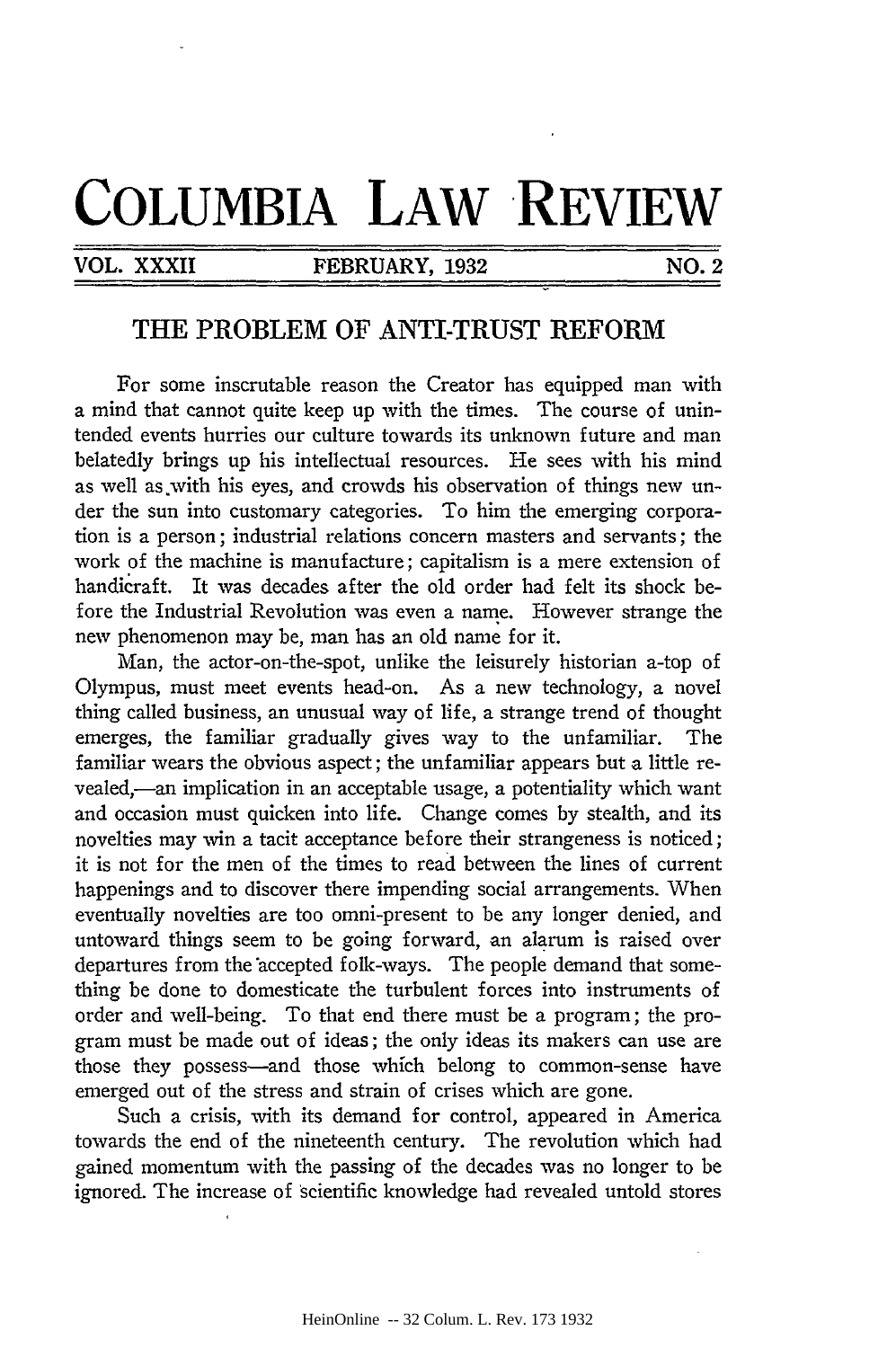# **COLUMBIA LAW REVIEW**

**VOL. XXXII FEBRUARY, 1932 N0.2** 

# **THE PROBLEM OF ANTI-TRUST REFORM**

For some inscrutable reason the Creator has equipped man with a mind that cannot quite keep up with the times. The course of unintended events hurries our culture towards its unknown future and man belatedly brings up his intellectual resources. He sees with his mind as well as.with his eyes, and crowds his observation of things new under the sun into customary categories. To him the emerging corporation is a person ; industrial relations concern masters and servants ; the work of the machine is manufacture; capitalism is a mere extension of handicraft. It was decades after the old order had felt its shock before the Industrial Revolution was even a name. However strange the new phenomenon may be, man has an old name for it.

Man, the actor-on-the-spot, unlike the leisurely historian a-top of Olympus, must meet events head-on. As a new technology, a novel thing called business, an unusual way of life, a strange trend of thought emerges, the familiar gradually gives way to the unfamiliar. The familiar wears the obvious aspect; the unfamiliar appears but a little revealed,-an implication in an acceptable usage, a potentiality which want and occasion must quicken into life. Change comes by stealth, and its novelties may win a tacit acceptance before their strangeness is noticed; it is not for the men of the times to read between the lines of current happenings and to discover there impending social arrangements. When eventually novelties are too omni-present to be any longer denied, and untoward things seem to be going forward, an alarum is raised over departures from the accepted folk-ways. The people demand that something be done to domesticate the turbulent forces into instruments of order and well-being. To that end there must be a program; the program must be made out of ideas; the only ideas its makers can use are those they possess-and those which belong to common-sense have emerged out of the stress and strain of crises which are gone.

Such a crisis, with its demand for control, appeared in America towards the end of the nineteenth century. The revolution which had gained momentum with the passing of the decades was no longer to be ignored. The increase of scientific knowledge had revealed untold stores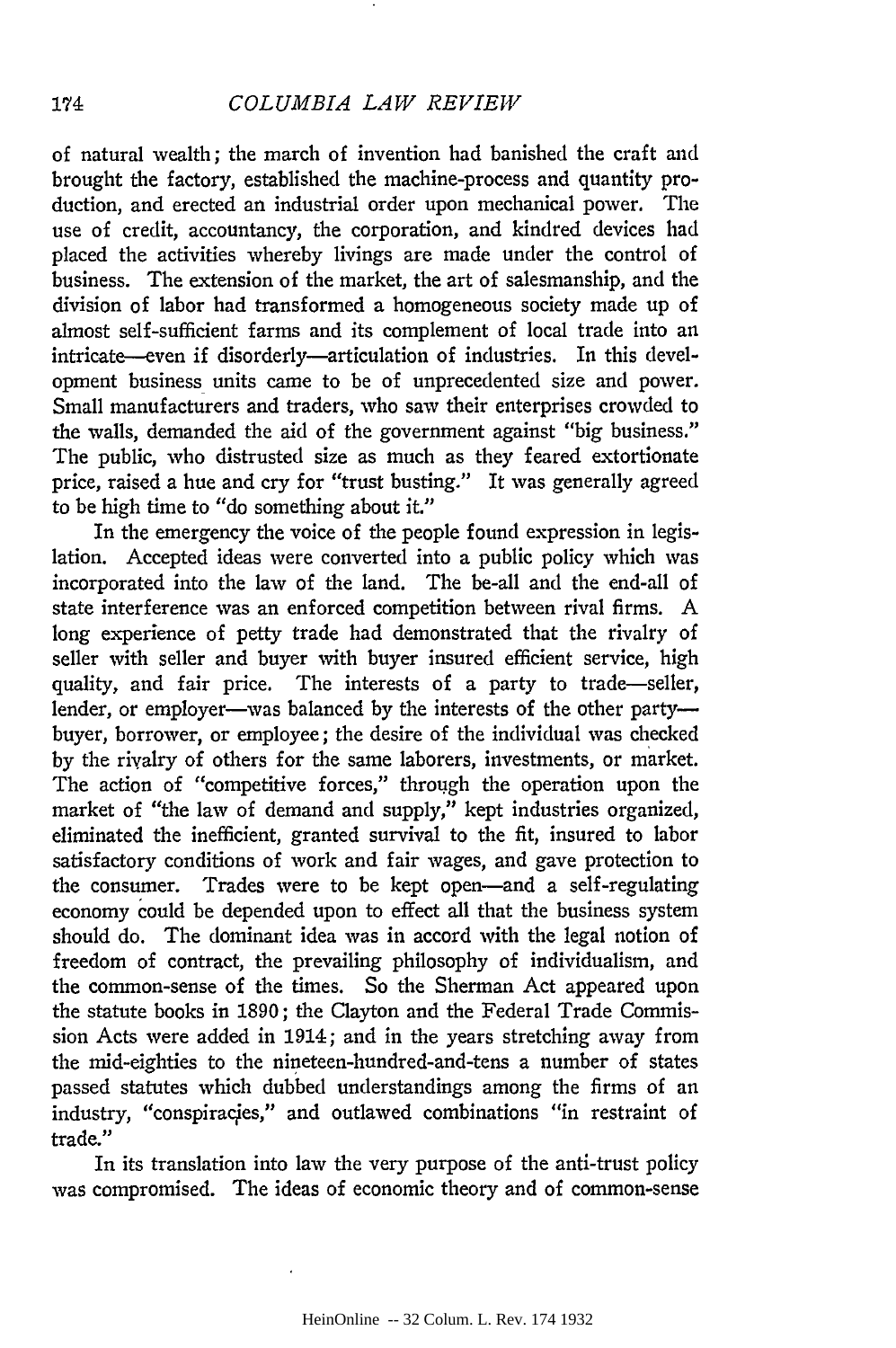### 174 *COLUMBIA LAW REVIEW*

of natural wealth; the march of invention had banished the craft and brought the factory, established the machine-process and quantity production, and erected an industrial order upon mechanical power. The use of credit, accountancy, the corporation, and kindred devices had placed the activities whereby livings are made under the control of business. The extension of the market, the art of salesmanship, and the division of labor had transformed a homogeneous society made up of almost self-sufficient farms and its complement of local trade into an intricate—even if disorderly—articulation of industries. In this development business units came to be of unprecedented size and power. Small manufacturers and traders, who saw their enterprises crowded to the walls, demanded the aid of the government against "big business." The public, who distrusted size as much as they feared extortionate price, raised a hue and cry for "trust busting." It was generally agreed to be high time to "do something about it."

In the emergency the voice of the people found expression in legislation. Accepted ideas were converted into a public policy which was incorporated into the law of the land. The be-ali and the end-all of state interference was an enforced competition between rival firms. A long experience of petty trade had demonstrated that the rivalry of seller with seller and buyer with buyer insured efficient service, high quality, and fair price. The interests of a party to trade-seller, lender, or employer--was balanced by the interests of the other partybuyer, borrower, or employee; the desire of the individual was checked by the rivalry of others for the same laborers, investments, or market. The action of "competitive forces," through the operation upon the market of "the law of demand and supply," kept industries organized, eliminated the inefficient, granted survival to the fit, insured to labor satisfactory conditions of work and fair wages, and gave protection to the consumer. Trades were to be kept open-and a self-regulating economy could be depended upon to effect all that the business system should do. The dominant idea was in accord with the legal notion of freedom of contract, the prevailing philosophy of individualism, and the common-sense of the times. So the Sherman Act appeared upon the statute books in 1890 ; the Clayton and the Federal Trade Commission Acts were added in 1914; and in the years stretching away from the mid-eighties to the nineteen-hundred-and-tens a number of states passed statutes which dubbed understandings among the firms of an industry, "conspiracies," and outlawed combinations "in restraint of trade."

In its translation into law the very purpose of the anti-trust policy was compromised. The ideas of economic theory and of common-sense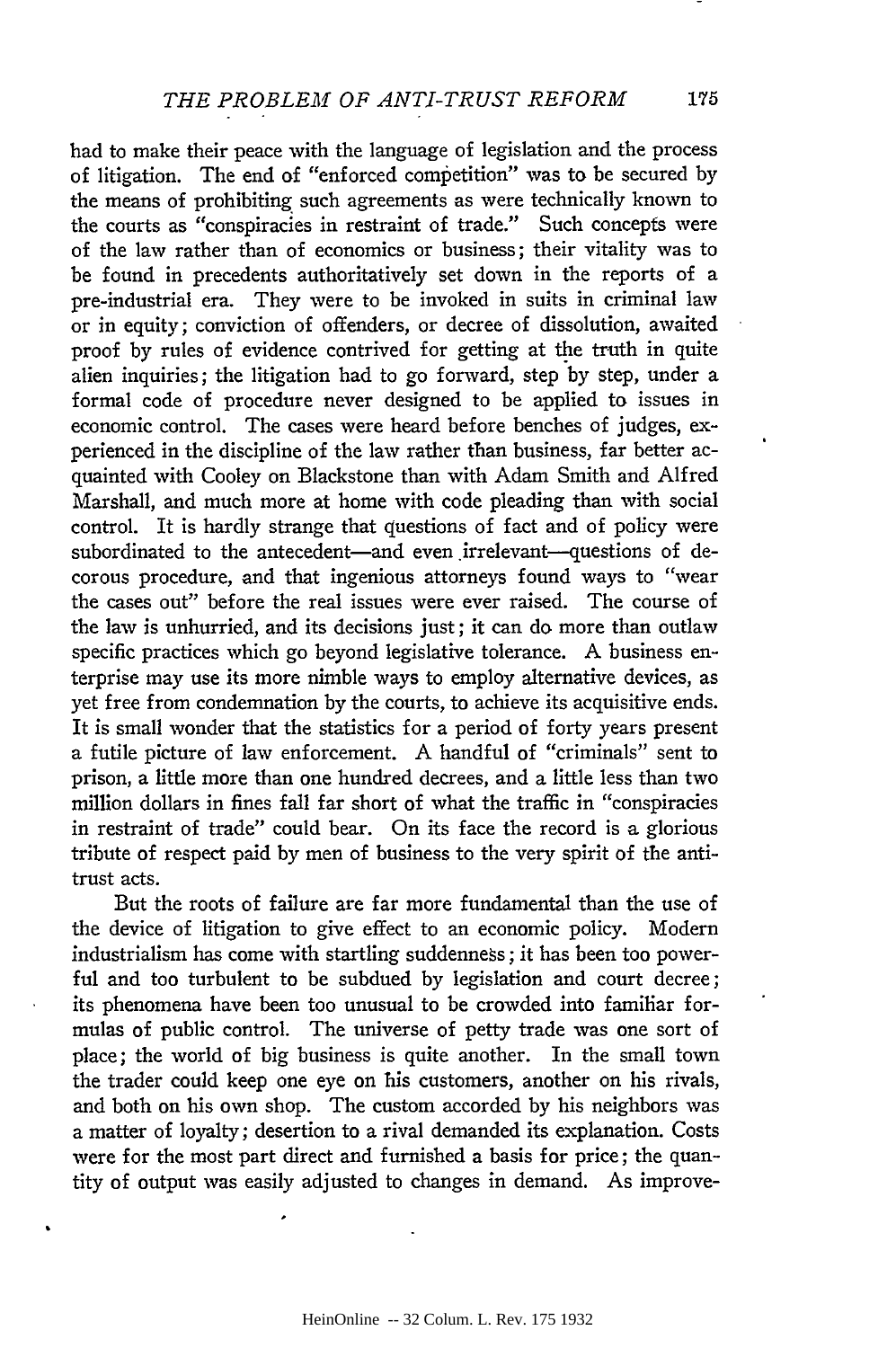had to make their peace with the language of legislation and the process of litigation. The end of "enforced competition" was to be secured by the means of prohibiting such agreements as were technically known to the courts as "conspiracies in restraint of trade." Such concepts were of the law rather than of economics or business; their vitality was to be found in precedents authoritatively set down in the reports of a pre-industrial era. They were to be invoked in suits in criminal law or in equity; conviction of offenders, or decree of dissolution, awaited proof by rules of evidence contrived for getting at the truth in quite alien inquiries; the litigation had to go fonvard, step by step, under a formal code of procedure never designed to be applied to issues in economic control. The cases were heard before benches of judges, experienced in the discipline of the law rather than business, far better acquainted with Cooley on Blackstone than with Adam Smith and Alfred Marshall, and much more at home with code pleading than with social control. It is hardly strange that questions of fact and of policy were subordinated to the antecedent-and even irrelevant-questions of decorous procedure, and that ingenious attorneys found ways to "wear the cases out" before the real issues were ever raised. The course of the law is unhurried, and its decisions just; it can do more than outlaw specific practices which go beyond legislative tolerance. A business enterprise may use its more nimble ways to employ alternative devices, as yet free from condemnation by the courts, to achieve its acquisitive ends. It is small wonder that the statistics for a period of forty years present a futile picture of law enforcement. A handful of "criminals" sent to prison, a little more than one hundred decrees, and a little less than two million dollars in fines fall far short of what the traffic in "conspiracies in restraint of trade" could bear. On its face the record is a glorious tribute of respect paid by men of business to the very spirit of the antitrust acts.

But the roots of failure are far more fundamental than the use of the device of litigation to give effect to an economic policy. Modern industrialism has come with startling suddenness ; it has been too powerful and too turbulent to be subdued by legislation and court decree; its phenomena have been too unusual to be crowded into familiar formulas of public control. The universe of petty trade was one sort of place; the world of big business is quite another. In the small town the trader could keep one eye on his customers, another on his rivals, and both on his own shop. The custom accorded by his neighbors was a matter of loyalty; desertion to a rival demanded its explanation. Costs were for the most part direct and furnished a basis for price; the quantity of output was easily adjusted to changes in demand. As improve-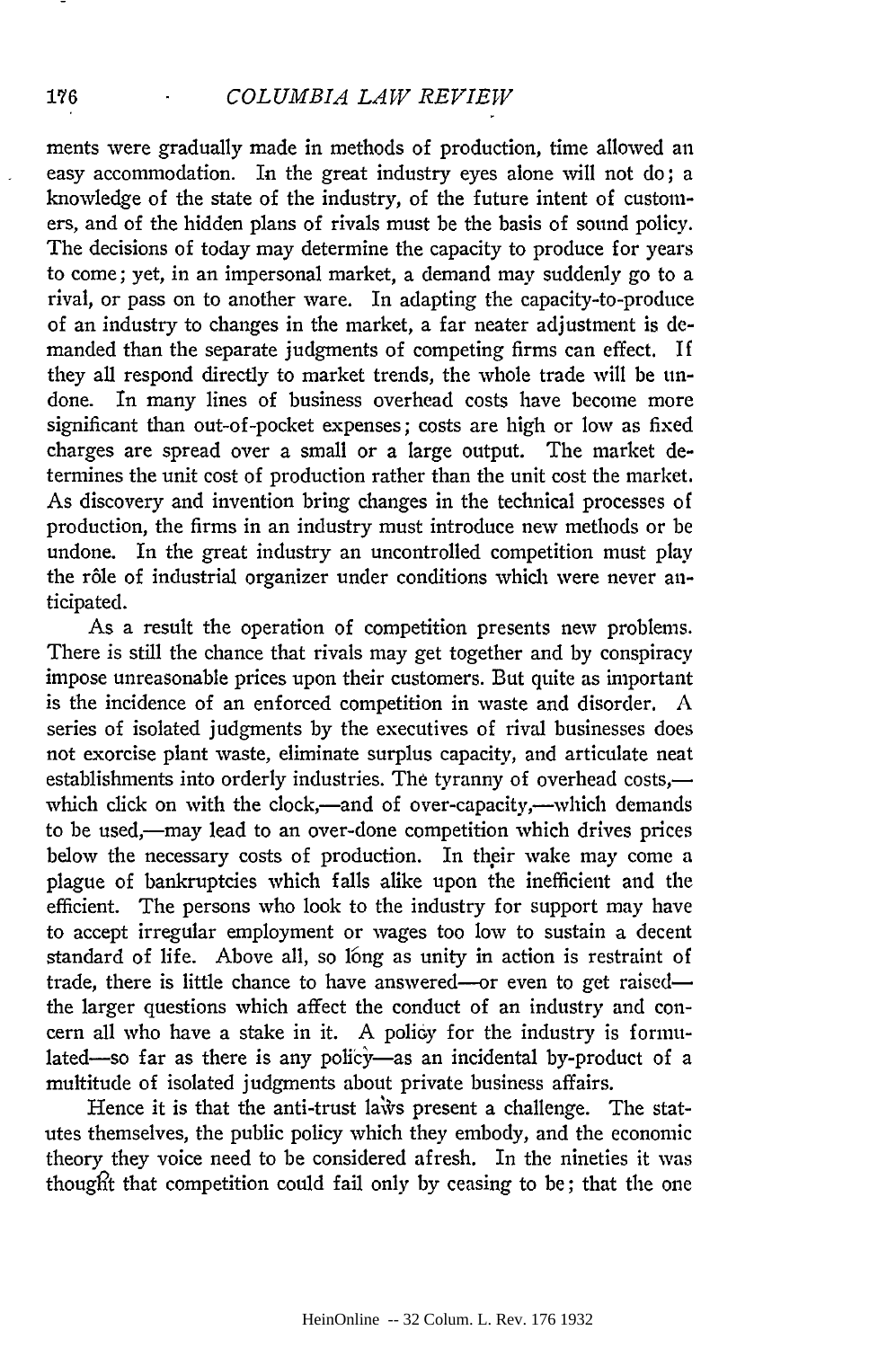ments were gradually made in methods of production, time allowed an easy accommodation. In the great industry eyes alone will not do; a knowledge of the state of the industry, of the future intent of customers, and of the hidden plans of rivals must be the basis of sound policy. The decisions of today may determine the capacity to produce for years to come; yet, in an impersonal market, a demand may suddenly go to a rival, or pass on to another ware. In adapting the capacity-to-produce of an industry to changes in the market, a far neater adjustment is demanded than the separate judgments of competing firms can effect. If they all respond directly to market trends, the whole trade will be undone. In many lines of business overhead costs have become more significant than out-of-pocket expenses; costs are high or low as fixed charges are spread over a small or a large output. The market determines the unit cost of production rather than the unit cost the market. As discovery and invention bring changes in the technical processes of production, the firms in an industry must introduce new methods or be undone. In the great industry an uncontrolled competition must play the rôle of industrial organizer under conditions which were never anticipated.

As a result the operation of competition presents new problems. There is still the chance that rivals may get together and by conspiracy impose unreasonable prices upon their customers. But quite as important is the incidence of an enforced competition in waste and disorder. A series of isolated judgments by the executives of rival businesses does not exorcise plant waste, eliminate surplus capacity, and articulate neat establishments into orderly industries. The tyranny of overhead costs,which click on with the clock,-and of over-capacity,--which demands to be used,-may lead to an over-done competition which drives prices below the necessary costs of production. In their wake may come a plague of bankruptcies which falls alike upon the inefficient and the efficient. The persons who look to the industry for support may have to accept irregular employment or wages too low to sustain a decent standard of life. Above all, so long as unity in action is restraint of trade, there is little chance to have answered-or even to get raisedthe larger questions which affect the conduct of an industry and concern all who have a stake in it. A policy for the industry is formulated-so far as there is any policy-as an incidental by-product of a multitude of isolated judgments about private business affairs.

Hence it is that the anti-trust laws present a challenge. The statutes themselves, the public policy which they embody, and the economic theory they voice need to be considered afresh. In the nineties it was thought that competition could fail only by ceasing to be; that the one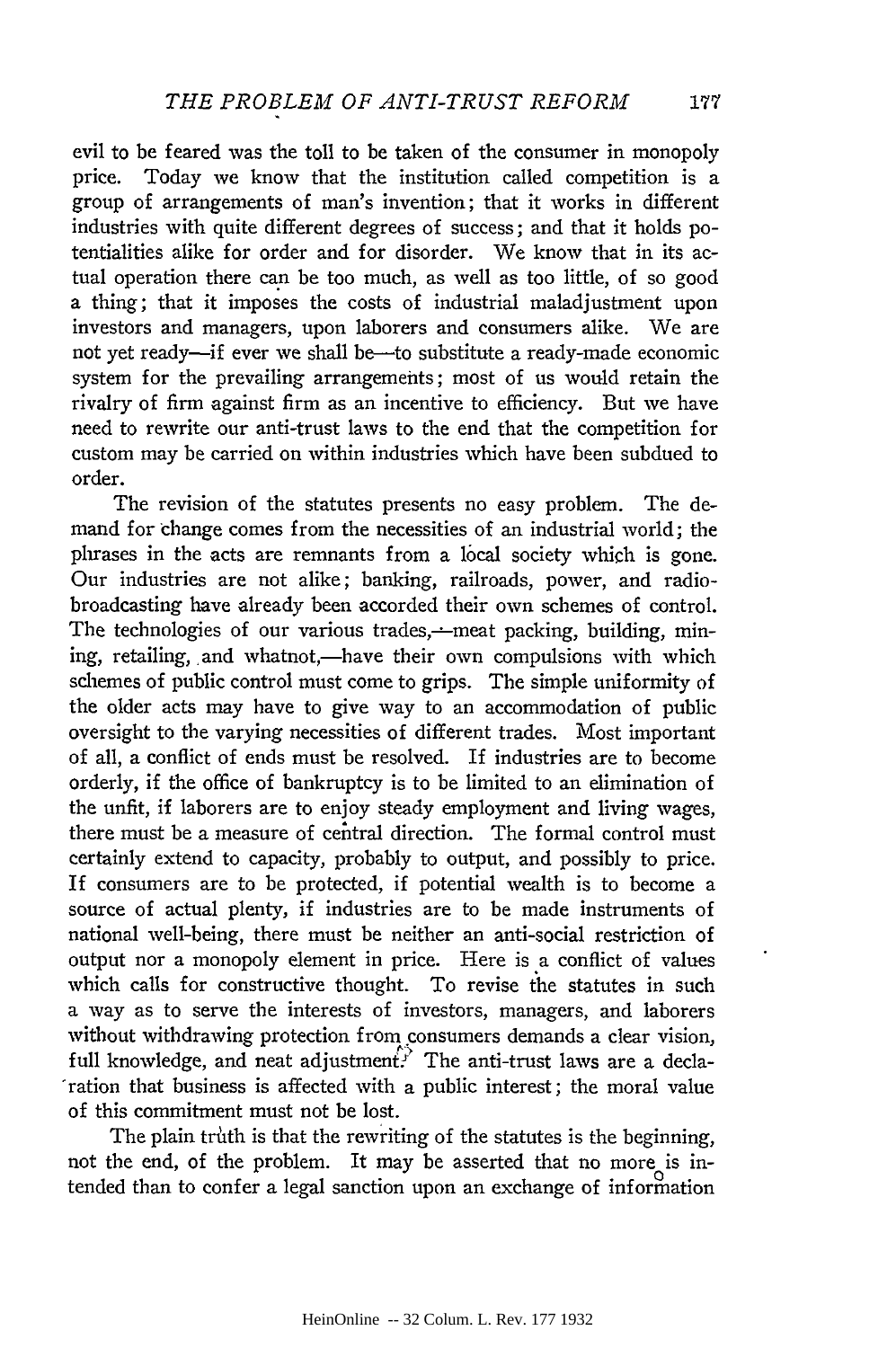evil to be feared was the toll to be taken of the consumer in monopoly price. Today we know that the institution called competition is a group of arrangements of man's invention; that it works in different industries with quite different degrees of success; and that it holds potentialities alike for order and for disorder. We know that in its actual operation there can be too much, as well as too little, of so good a thing; that it imposes the costs of industrial maladjustment upon investors and managers, upon laborers and consumers alike. We are not yet ready-if ever we shall be-to substitute a ready-made economic system for the prevailing arrangements ; most of us would retain the rivalry of firm against firm as an incentive to efficiency. But we have need to rewrite our anti-trust laws to the end that the competition for custom may be carried on within industries which have been subdued to order.

The revision of the statutes presents no easy problem. The demand for change comes from the necessities of an industrial world; the phrases in the acts are remnants from a local society which is gone. Our industries are not alike; banking, railroads, power, and radiobroadcasting have already been accorded their own schemes of control. The technologies of our various trades, $\div$ meat packing, building, mining, retailing, and whatnot,-have their own compulsions with which schemes of public control must come to grips. The simple uniformity of the older acts may have to give way to an accommodation of public oversight to the varying necessities of different trades. Most important of all, a conflict of ends must be resolved. If industries are to become orderly, if the office of bankruptcy is to be limited to an elimination of the unfit, if laborers are to enjoy steady employment and living wages, there must be a measure of central direction. The formal control must certainly extend to capacity, probably to output, and possibly to price. If consumers are to be protected, if potential wealth is to become a source of actual plenty, if industries are to be made instruments of national well-being, there must be neither an anti-social restriction of output nor a monopoly element in price. Here is a conflict of values which calls for constructive thought. To revise the statutes in such a way as to serve the interests of investors, managers, and laborers without withdrawing protection from consumers demands a clear vision, full knowledge, and neat adjustmen $f^{\gamma}$  The anti-trust laws are a decla-·ration that business is affected with a public interest; the moral value of this commitment must not be lost.

The plain truth is that the rewriting of the statutes is the beginning, not the end, of the problem. It may be asserted that no more is intended than to confer a legal sanction upon an exchange of information